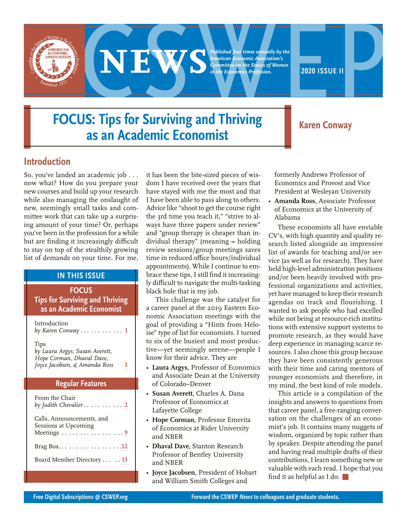

**Example 2020 ISSUE II**<br>
IS' Tins for Surviving and Thriving *Published four times annually by the American Economic Association's Committee on the Status of Women in the Economics Profession.*

# **FOCUS: Tips for Surviving and Thriving as an Academic Economist Karen Conway**

### **Introduction**

So, you've landed an academic job . . . now what? How do you prepare your new courses and build up your research while also managing the onslaught of new, seemingly small tasks and committee work that can take up a surprising amount of your time? Or, perhaps you've been in the profession for a while but are finding it increasingly difficult to stay on top of the stealthily growing list of demands on your time. For me,

### **IN THIS ISSUE FOCUS Tips for Surviving and Thriving as an Academic Economist**  Introduction *by Karen Conway* . . . . . . . . **1** Tips *by Laura Argys, Susan Averett, Hope Corman, Dhaval Dave, Joyce Jacobsen, & Amanda Ross* **[3](#page-2-0) Regular Features** From the Chair *by Judith Chevalier* . . . . . . . . . . . **[2](#page-1-0)** Calls, Announcements, and Sessions at Upcoming Meetings . . . . . . . . . . . . . . . . . **[9](#page-8-0)** Brag Box . . . . . . . . . . . **[12](#page-11-0)** Board Member Directory . . . . **[13](#page-12-0)**

it has been the bite-sized pieces of wisdom I have received over the years that have stayed with me the most and that I have been able to pass along to others. Advice like "shoot to get the course right the 3rd time you teach it," "strive to always have three papers under review" and "group therapy is cheaper than individual therapy" (meaning = holding review sessions/group meetings saves time in reduced office hours/individual appointments). While I continue to embrace these tips, I still find it increasingly difficult to navigate the multi-tasking black hole that is my job.

This challenge was the catalyst for a career panel at the 2019 Eastern Economic Association meetings with the goal of providing a "Hints from Heloise" type of list for economists. I turned to six of the busiest and most productive—yet seemingly serene—people I know for their advice. They are

- **Laura Argys,** Professor of Economics and Associate Dean at the University of Colorado–Denver
- **Susan Averett,** Charles A. Dana Professor of Economics at Lafayette College
- **Hope Corman,** Professor Emerita of Economics at Rider University and NBER
- **Dhaval Dave,** Stanton Research Professor of Bentley University and NBER
- **Joyce Jacobsen,** President of Hobart and William Smith Colleges and

formerly Andrews Professor of Economics and Provost and Vice President at Wesleyan University

• **Amanda Ross,** Associate Professor of Economics at the University of Alabama

These economists all have enviable CV's, with high quantity and quality research listed alongside an impressive list of awards for teaching and/or service (as well as for research). They have held high-level administration positions and/or been heavily involved with professional organizations and activities, yet have managed to keep their research agendas on track and flourishing. I wanted to ask people who had excelled while not being at resource-rich institutions with extensive support systems to promote research, as they would have deep experience in managing scarce resources. I also chose this group because they have been consistently generous with their time and caring mentors of younger economists and therefore, in my mind, the best kind of role models.

This article is a compilation of the insights and answers to questions from that career panel, a free-ranging conversation on the challenges of an economist's job. It contains many nuggets of wisdom, organized by topic rather than by speaker. Despite attending the panel and having read multiple drafts of their contributions, I learn something new or valuable with each read. I hope that you find it as helpful as I do.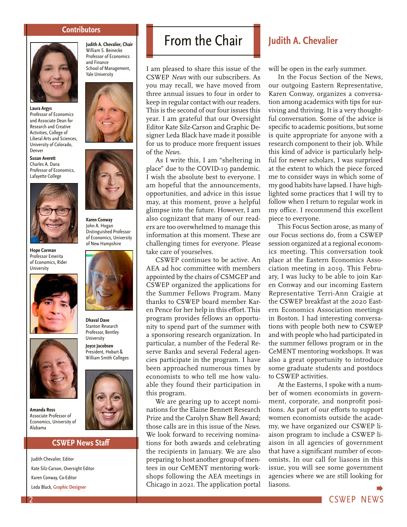#### **Contributors**

<span id="page-1-0"></span>

**Laura Argys** Professor of Economics and Associate Dean for Research and Creative Activities, College of Liberal Arts and Sciences, University of Colorado, Denver

**Susan Averett** Charles A. Dana Professor of Economics, Lafayette College



**Hope Corman** Professor Emerita of Economics, Rider University





**Amanda Ross** Associate Professor of Economics, University of Alabama

#### **CSWEP News Staff**

Judith Chevalier, Editor Kate Silz-Carson, Oversight Editor Karen Conway, Co-Editor Leda Black, **[Graphic Designer](https://www.ledablack.com)**

**Judith A. Chevalier, Chair**  William S. Beinecke Professor of Economics and Finance School of Management, Yale University





**Karen Conway** John A. Hogan Distinguished Professor of Economics, University of New Hampshire



**Dhaval Dave** Stanton Research Professor, Bentley University

**Joyce Jacobsen** President, Hobart & William Smith Colleges



# From the Chair **Judith A. Chevalier**

I am pleased to share this issue of the CSWEP *News* with our subscribers. As you may recall, we have moved from three annual issues to four in order to keep in regular contact with our readers. This is the second of our four issues this year. I am grateful that our Oversight Editor Kate Silz-Carson and Graphic Designer Leda Black have made it possible for us to produce more frequent issues of the *News*.

As I write this, I am "sheltering in place" due to the COVID-19 pandemic. I wish the absolute best to everyone. I am hopeful that the announcements, opportunities, and advice in this issue may, at this moment, prove a helpful glimpse into the future. However, I am also cognizant that many of our readers are too overwhelmed to manage this information at this moment. These are challenging times for everyone. Please take care of yourselves.

CSWEP continues to be active. An AEA ad hoc committee with members appointed by the chairs of CSMGEP and CSWEP organized the applications for the Summer Fellows Program. Many thanks to CSWEP board member Karen Pence for her help in this effort. This program provides fellows an opportunity to spend part of the summer with a sponsoring research organization. In particular, a number of the Federal Reserve Banks and several Federal agencies participate in the program. I have been approached numerous times by economists to who tell me how valuable they found their participation in this program.

We are gearing up to accept nominations for the Elaine Bennett Research Prize and the Carolyn Shaw Bell Award; those calls are in this issue of the *News*. We look forward to receiving nominations for both awards and celebrating the recipients in January. We are also preparing to host another group of mentees in our CeMENT mentoring workshops following the AEA meetings in Chicago in 2021. The application portal

will be open in the early summer.

In the Focus Section of the News, our outgoing Eastern Representative, Karen Conway, organizes a conversation among academics with tips for surviving and thriving. It is a very thoughtful conversation. Some of the advice is specific to academic positions, but some is quite appropriate for anyone with a research component to their job. While this kind of advice is particularly helpful for newer scholars, I was surprised at the extent to which the piece forced me to consider ways in which some of my good habits have lapsed. I have highlighted some practices that I will try to follow when I return to regular work in my office. I recommend this excellent piece to everyone.

This Focus Section arose, as many of our Focus sections do, from a CSWEP session organized at a regional economics meeting. This conversation took place at the Eastern Economics Association meeting in 2019. This February, I was lucky to be able to join Karen Conway and our incoming Eastern Representative Terri-Ann Craigie at the CSWEP breakfast at the 2020 Eastern Economics Association meetings in Boston. I had interesting conversations with people both new to CSWEP and with people who had participated in the summer fellows program or in the CeMENT mentoring workshops. It was also a great opportunity to introduce some graduate students and postdocs to CSWEP activities.

At the Easterns, I spoke with a number of women economists in government, corporate, and nonprofit positions. As part of our efforts to support women economists outside the academy, we have organized our CSWEP liaison program to include a CSWEP liaison in all agencies of government that have a significant number of economists. In our call for liasons in this issue, you will see some government agencies where we are still looking for liasons.

CSWEP NEWS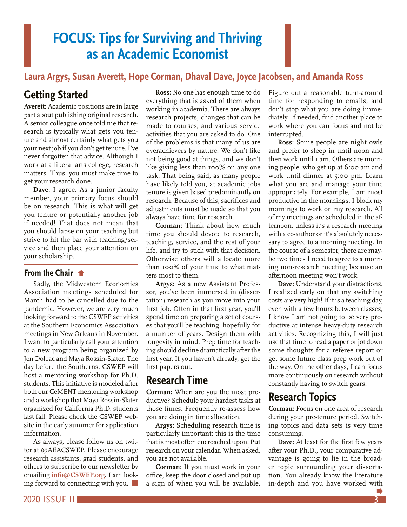# <span id="page-2-0"></span>**FOCUS: Tips for Surviving and Thriving as an Academic Economist**

### **Laura Argys, Susan Averett, Hope Corman, Dhaval Dave, Joyce Jacobsen, and Amanda Ross**

## **Getting Started**

**Averett:** Academic positions are in large part about publishing original research. A senior colleague once told me that research is typically what gets you tenure and almost certainly what gets you your next job if you don't get tenure. I've never forgotten that advice. Although I work at a liberal arts college, research matters. Thus, you must make time to get your research done.

**Dave:** I agree. As a junior faculty member, your primary focus should be on research. This is what will get you tenure or potentially another job if needed! That does not mean that you should lapse on your teaching but strive to hit the bar with teaching/service and then place your attention on your scholarship.

#### **From the Chair**

[Sadly, the Midwestern Economics](#page-1-0)  Association meetings scheduled for March had to be cancelled due to the pandemic. However, we are very much looking forward to the CSWEP activities at the Southern Economics Association meetings in New Orleans in November. I want to particularly call your attention to a new program being organized by Jen Doleac and Maya Rossin-Slater. The day before the Southerns, CSWEP will host a mentoring workshop for Ph.D. students. This initiative is modeled after both our CeMENT mentoring workshop and a workshop that Maya Rossin-Slater organized for California Ph.D. students last fall. Please check the CSWEP website in the early summer for application information.

As always, please follow us on twitter at @AEACSWEP. Please encourage research assistants, grad students, and others to subscribe to our newsletter by emailing **[info@CSWEP.org](mailto:info%40CSWEP.org?subject=)**. I am looking forward to connecting with you.

**Ross:** No one has enough time to do everything that is asked of them when working in academia. There are always research projects, changes that can be made to courses, and various service activities that you are asked to do. One of the problems is that many of us are overachievers by nature. We don't like not being good at things, and we don't like giving less than 100% on any one task. That being said, as many people have likely told you, at academic jobs tenure is given based predominantly on research. Because of this, sacrifices and adjustments must be made so that you always have time for research.

**Corman:** Think about how much time you should devote to research, teaching, service, and the rest of your life, and try to stick with that decision. Otherwise others will allocate more than 100% of your time to what matters most to them.

**Argys:** As a new Assistant Professor, you've been immersed in (dissertation) research as you move into your first job. Often in that first year, you'll spend time on preparing a set of courses that you'll be teaching, hopefully for a number of years. Design them with longevity in mind. Prep time for teaching should decline dramatically after the first year. If you haven't already, get the first papers out.

### **Research Time**

**Corman:** When are you the most productive? Schedule your hardest tasks at those times. Frequently re-assess how you are doing in time allocation.

**Argys:** Scheduling research time is particularly important; this is the time that is most often encroached upon. Put research on your calendar. When asked, you are not available.

**Corman:** If you must work in your office, keep the door closed and put up a sign of when you will be available. Figure out a reasonable turn-around time for responding to emails, and don't stop what you are doing immediately. If needed, find another place to work where you can focus and not be interrupted.

**Ross:** Some people are night owls and prefer to sleep in until noon and then work until I am. Others are morning people, who get up at 6:00 am and work until dinner at 5:00 pm. Learn what you are and manage your time appropriately. For example, I am most productive in the mornings. I block my mornings to work on my research. All of my meetings are scheduled in the afternoon, unless it's a research meeting with a co-author or it's absolutely necessary to agree to a morning meeting. In the course of a semester, there are maybe two times I need to agree to a morning non-research meeting because an afternoon meeting won't work.

**Dave:** Understand your distractions. I realized early on that my switching costs are very high! If it is a teaching day, even with a few hours between classes, I know I am not going to be very productive at intense heavy-duty research activities. Recognizing this, I will just use that time to read a paper or jot down some thoughts for a referee report or get some future class prep work out of the way. On the other days, I can focus more continuously on research without constantly having to switch gears.

### **Research Topics**

**Corman:** Focus on one area of research during your pre-tenure period. Switching topics and data sets is very time consuming.

**Dave:** At least for the first few years after your Ph.D., your comparative advantage is going to lie in the broader topic surrounding your dissertation. You already know the literature in-depth and you have worked w[ith](#page-3-0)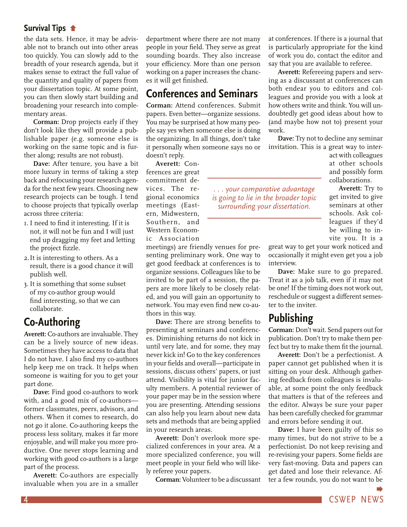<span id="page-3-0"></span>[the data sets. Hence, it may be advis](#page-2-0)able not to branch out into other areas too quickly. You can slowly add to the breadth of your research agenda, but it makes sense to extract the full value of the quantity and quality of papers from your dissertation topic. At some point, you can then slowly start building and broadening your research into complementary areas.

**Corman:** Drop projects early if they don't look like they will provide a publishable paper (e.g. someone else is working on the same topic and is further along; results are not robust).

**Dave:** After tenure, you have a bit more luxury in terms of taking a step back and refocusing your research agenda for the next few years. Choosing new research projects can be tough. I tend to choose projects that typically overlap across three criteria:

- 1. I need to find it interesting. If it is not, it will not be fun and I will just end up dragging my feet and letting the project fizzle.
- 2.It is interesting to others. As a result, there is a good chance it will publish well.
- 3.It is something that some subset of my co-author group would find interesting, so that we can collaborate.

### **Co-Authoring**

**Averett:** Co-authors are invaluable. They can be a lively source of new ideas. Sometimes they have access to data that I do not have. I also find my co-authors help keep me on track. It helps when someone is waiting for you to get your part done.

**Dave:** Find good co-authors to work with, and a good mix of co-authors former classmates, peers, advisors, and others. When it comes to research, do not go it alone. Co-authoring keeps the process less solitary, makes it far more enjoyable, and will make you more productive. One never stops learning and working with good co-authors is a large part of the process.

**Averett:** Co-authors are especially invaluable when you are in a smaller department where there are not many people in your field. They serve as great sounding boards. They also increase your efficiency. More than one person working on a paper increases the chances it will get finished.

## **Conferences and Seminars**

**Corman:** Attend conferences. Submit papers. Even better—organize sessions. You may be surprised at how many people say yes when someone else is doing the organizing. In all things, don't take it personally when someone says no or doesn't reply.

**Averett:** Conferences are great commitment devices. The regional economics meetings (Eastern, Midwestern, Southern, and Western Economic Association

meetings) are friendly venues for presenting preliminary work. One way to get good feedback at conferences is to organize sessions. Colleagues like to be invited to be part of a session, the papers are more likely to be closely related, and you will gain an opportunity to network. You may even find new co-authors in this way.

**Dave:** There are strong benefits to presenting at seminars and conferences. Diminishing returns do not kick in until very late, and for some, they may never kick in! Go to the key conferences in your fields and overall—participate in sessions, discuss others' papers, or just attend. Visibility is vital for junior faculty members. A potential reviewer of your paper may be in the session where you are presenting. Attending sessions can also help you learn about new data sets and methods that are being applied in your research areas.

**Averett:** Don't overlook more specialized conferences in your area. At a more specialized conference, you will meet people in your field who will likely referee your papers.

**Corman:** Volunteer to be a discussant

at conferences. If there is a journal that is particularly appropriate for the kind of work you do, contact the editor and say that you are available to referee.

**Averett:** Refereeing papers and serving as a discussant at conferences can both endear you to editors and colleagues and provide you with a look at how others write and think. You will undoubtedly get good ideas about how to (and maybe how not to) present your work.

**Dave:** Try not to decline any seminar invitation. This is a great way to inter-

> act with colleagues at other schools and possibly form collaborations.

> **Averett:** Try to get invited to give seminars at other schools. Ask colleagues if they'd be willing to invite you. It is a

great way to get your work noticed and occasionally it might even get you a job interview.

**Dave:** Make sure to go prepared. Treat it as a job talk, even if it may not be one! If the timing does not work out, reschedule or suggest a different semester to the inviter.

### **Publishing**

*. . . your comparative advantage is going to lie in the broader topic surrounding your dissertation.* 

> **Corman:** Don't wait. Send papers out for publication. Don't try to make them perfect but try to make them fit the journal.

> **Averett:** Don't be a perfectionist. A paper cannot get published when it is sitting on your desk. Although gathering feedback from colleagues is invaluable, at some point the only feedback that matters is that of the referees and the editor. Always be sure your paper has been carefully checked for grammar and errors before sending it out.

> **Dave:** I have been guilty of this so many times, but do not strive to be a perfectionist. Do not keep revising and re-revising your papers. Some fields are very fast-moving. Data and papers can get dated and lose their relevance. After a few rounds, you do not want to be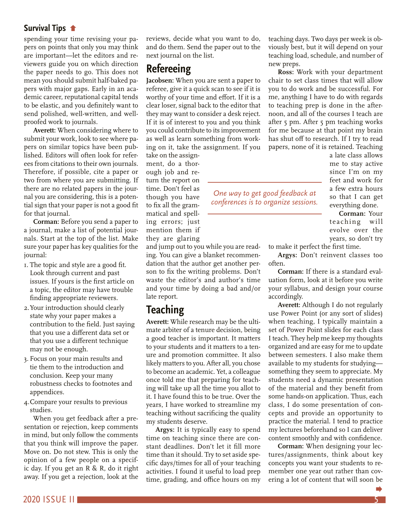<span id="page-4-0"></span>[spending your time revising your pa](#page-3-0)pers on points that only you may think are important—let the editors and reviewers guide you on which direction the paper needs to go. This does not mean you should submit half-baked papers with major gaps. Early in an academic career, reputational capital tends to be elastic, and you definitely want to send polished, well-written, and wellproofed work to journals.

**Averett:** When considering where to submit your work, look to see where papers on similar topics have been published. Editors will often look for referees from citations to their own journals. Therefore, if possible, cite a paper or two from where you are submitting. If there are no related papers in the journal you are considering, this is a potential sign that your paper is not a good fit for that journal.

**Corman:** Before you send a paper to a journal, make a list of potential journals. Start at the top of the list. Make sure your paper has key qualities for the journal:

- 1. The topic and style are a good fit. Look through current and past issues. If yours is the first article on a topic, the editor may have trouble finding appropriate reviewers.
- 2.Your introduction should clearly state why your paper makes a contribution to the field. Just saying that you use a different data set or that you use a different technique may not be enough.
- 3. Focus on your main results and tie them to the introduction and conclusion. Keep your many robustness checks to footnotes and appendices.
- 4.Compare your results to previous studies.

When you get feedback after a presentation or rejection, keep comments in mind, but only follow the comments that you think will improve the paper. Move on. Do not stew. This is only the opinion of a few people on a specific day. If you get an R & R, do it right away. If you get a rejection, look at the

reviews, decide what you want to do, and do them. Send the paper out to the next journal on the list.

## **Refereeing**

take on the assignment, do a thorough job and return the report on time. Don't feel as though you have to fix all the grammatical and spelling errors; just mention them if they are glaring

late report.

**Teaching**

my students deserve.

**Jacobsen:** When you are sent a paper to referee, give it a quick scan to see if it is worthy of your time and effort. If it is a clear loser, signal back to the editor that they may want to consider a desk reject. If it is of interest to you and you think you could contribute to its improvement as well as learn something from working on it, take the assignment. If you

and jump out to you while you are reading. You can give a blanket recommendation that the author get another person to fix the writing problems. Don't waste the editor's and author's time and your time by doing a bad and/or

**Averett:** While research may be the ultimate arbiter of a tenure decision, being a good teacher is important. It matters to your students and it matters to a tenure and promotion committee. It also likely matters to you. After all, you chose to become an academic. Yet, a colleague once told me that preparing for teaching will take up all the time you allot to it. I have found this to be true. Over the years, I have worked to streamline my teaching without sacrificing the quality

**Argys:** It is typically easy to spend time on teaching since there are constant deadlines. Don't let it fill more time than it should. Try to set aside specific days/times for all of your teaching activities. I found it useful to load prep time, grading, and office hours on my

*One way to get good feedback at* 

teaching days. Two days per week is obviously best, but it will depend on your teaching load, schedule, and number of new preps.

**Ross:** Work with your department chair to set class times that will allow you to do work and be successful. For me, anything I have to do with regards to teaching prep is done in the afternoon, and all of the courses I teach are after 5 pm. After 5 pm teaching works for me because at that point my brain has shut off to research. If I try to read papers, none of it is retained. Teaching

a late class allows me to stay active since I'm on my feet and work for a few extra hours so that I can get everything done.

**Corman:** Your teaching will evolve over the years, so don't try

*conferences is to organize sessions.* 

to make it perfect the first time.

**Argys:** Don't reinvent classes too often.

**Corman:** If there is a standard evaluation form, look at it before you write your syllabus, and design your course accordingly.

**Averett:** Although I do not regularly use Power Point (or any sort of slides) when teaching, I typically maintain a set of Power Point slides for each class I teach. They help me keep my thoughts organized and are easy for me to update between semesters. I also make them available to my students for studying something they seem to appreciate. My students need a dynamic presentation of the material and they benefit from some hands-on application. Thus, each class, I do some presentation of concepts and provide an opportunity to practice the material. I tend to practice my lectures beforehand so I can deliver content smoothly and with confidence.

**Corman:** When designing your lectures/assignments, think about key concepts you want your students to remember one year out rather than covering a lot of content that will soon be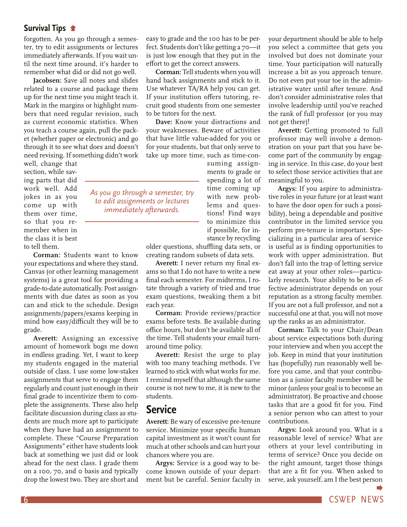<span id="page-5-0"></span>[forgotten. As you go through a semes](#page-4-0)ter, try to edit assignments or lectures immediately afterwards. If you wait until the next time around, it's harder to remember what did or did not go well.

**Jacobsen:** Save all notes and slides related to a course and package them up for the next time you might teach it. Mark in the margins or highlight numbers that need regular revision, such as current economic statistics. When you teach a course again, pull the packet (whether paper or electronic) and go through it to see what does and doesn't need revising. If something didn't work

well, change that section, while saving parts that did work well. Add jokes in as you come up with them over time, so that you remember when in the class it is best to tell them.

**Corman:** Students want to know your expectations and where they stand. Canvas (or other learning management systems) is a great tool for providing a grade-to-date automatically. Post assignments with due dates as soon as you can and stick to the schedule. Design assignments/papers/exams keeping in mind how easy/difficult they will be to grade.

**Averett:** Assigning an excessive amount of homework bogs me down in endless grading. Yet, I want to keep my students engaged in the material outside of class. I use some low-stakes assignments that serve to engage them regularly and count just enough in their final grade to incentivize them to complete the assignments. These also help facilitate discussion during class as students are much more apt to participate when they have had an assignment to complete. These "Course Preparation Assignments" either have students look back at something we just did or look ahead for the next class. I grade them on a 100, 70, and 0 basis and typically drop the lowest two. They are short and

easy to grade and the 100 has to be perfect. Students don't like getting a 70—it is just low enough that they put in the effort to get the correct answers.

**Corman:** Tell students when you will hand back assignments and stick to it. Use whatever TA/RA help you can get. If your institution offers tutoring, recruit good students from one semester to be tutors for the next.

**Dave:** Know your distractions and your weaknesses. Beware of activities that have little value-added for you or for your students, but that only serve to take up more time, such as time-con-

suming assignments to grade or spending a lot of time coming up with new problems and questions! Find ways to minimize this if possible, for instance by recycling

older questions, shuffling data sets, or creating random subsets of data sets.

**Averett:** I never return my final exams so that I do not have to write a new final each semester. For midterms, I rotate through a variety of tried and true exam questions, tweaking them a bit each year.

**Corman:** Provide reviews/practice exams before tests. Be available during office hours, but don't be available all of the time. Tell students your email turnaround time policy.

**Averett:** Resist the urge to play with too many teaching methods. I've learned to stick with what works for me. I remind myself that although the same course is not new to me, it is new to the students.

### **Service**

*As you go through a semester, try to edit assignments or lectures immediately afterwards.* 

> **Averett:** Be wary of excessive pre-tenure service. Minimize your specific human capital investment as it won't count for much at other schools and can hurt your chances where you are.

> **Argys:** Service is a good way to become known outside of your department but be careful. Senior faculty in

your department should be able to help you select a committee that gets you involved but does not dominate your time. Your participation will naturally increase a bit as you approach tenure. Do not even put your toe in the administrative water until after tenure. And don't consider administrative roles that involve leadership until you've reached the rank of full professor (or you may not get there)!

**Averett:** Getting promoted to full professor may well involve a demonstration on your part that you have become part of the community by engaging in service. In this case, do your best to select those service activities that are meaningful to you.

**Argys:** If you aspire to administrative roles in your future (or at least want to have the door open for such a possibility), being a dependable and positive contributor in the limited service you perform pre-tenure is important. Specializing in a particular area of service is useful as is finding opportunities to work with upper administration. But don't fall into the trap of letting service eat away at your other roles—particularly research. Your ability to be an effective administrator depends on your reputation as a strong faculty member. If you are not a full professor, and not a successful one at that, you will not move up the ranks as an administrator.

**Corman:** Talk to your Chair/Dean about service expectations both during your interview and when you accept the job. Keep in mind that your institution has (hopefully) run reasonably well before you came, and that your contribution as a junior faculty member will be minor (unless your goal is to become an administrator). Be proactive and choose tasks that are a good fit for you. Find a senior person who can attest to your contributions.

**Argys:** Look around you. What is a reasonable level of service? What are others at your level contributing in terms of service? Once you decide on the right amount, target those things that are a fit for you. When asked to serve, ask yourself, am I the best person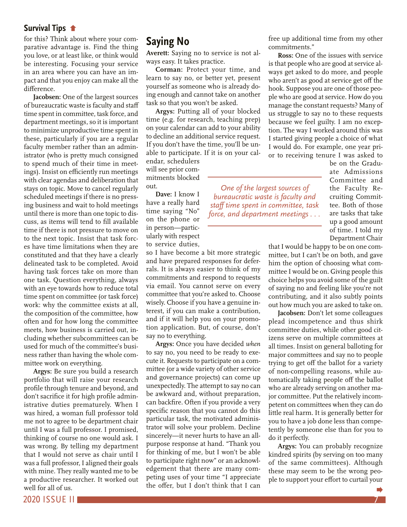<span id="page-6-0"></span>[for this? Think about where your com](#page-5-0)parative advantage is. Find the thing you love, or at least like, or think would be interesting. Focusing your service in an area where you can have an impact and that you enjoy can make all the difference.

**Jacobsen:** One of the largest sources of bureaucratic waste is faculty and staff time spent in committee, task force, and department meetings, so it is important to minimize unproductive time spent in these, particularly if you are a regular faculty member rather than an administrator (who is pretty much consigned to spend much of their time in meetings). Insist on efficiently run meetings with clear agendas and deliberation that stays on topic. Move to cancel regularly scheduled meetings if there is no pressing business and wait to hold meetings until there is more than one topic to discuss, as items will tend to fill available time if there is not pressure to move on to the next topic. Insist that task forces have time limitations when they are constituted and that they have a clearly delineated task to be completed. Avoid having task forces take on more than one task. Question everything, always with an eye towards how to reduce total time spent on committee (or task force) work: why the committee exists at all, the composition of the committee, how often and for how long the committee meets, how business is carried out, including whether subcommittees can be used for much of the committee's business rather than having the whole committee work on everything.

**Argys:** Be sure you build a research portfolio that will raise your research profile through tenure and beyond, and don't sacrifice it for high profile administrative duties prematurely. When I was hired, a woman full professor told me not to agree to be department chair until I was a full professor. I promised, thinking of course no one would ask. I was wrong. By telling my department that I would not serve as chair until I was a full professor, I aligned their goals with mine. They really wanted me to be a productive researcher. It worked out well for all of us.

## **Saying No**

**Averett:** Saying no to service is not always easy. It takes practice.

**Corman:** Protect your time, and learn to say no, or better yet, present yourself as someone who is already doing enough and cannot take on another task so that you won't be asked.

**Argys:** Putting all of your blocked time (e.g. for research, teaching prep) on your calendar can add to your ability to decline an additional service request. If you don't have the time, you'll be unable to participate. If it is on your cal-

> *One of the largest sources of bureaucratic waste is faculty and staff time spent in committee, task force, and department meetings . . .*

endar, schedulers will see prior commitments blocked out.

**Dave:** I know I have a really hard time saying "No" on the phone or in person—particularly with respect to service duties,

so I have become a bit more strategic and have prepared responses for deferrals. It is always easier to think of my commitments and respond to requests via email. You cannot serve on every committee that you're asked to. Choose wisely. Choose if you have a genuine interest, if you can make a contribution, and if it will help you on your promotion application. But, of course, don't say no to everything.

**Argys:** Once you have decided *when* to say no, you need to be ready to execute it. Requests to participate on a committee (or a wide variety of other service and governance projects) can come up unexpectedly. The attempt to say no can be awkward and, without preparation, can backfire. Often if you provide a very specific reason that you cannot do this particular task, the motivated administrator will solve your problem. Decline sincerely—it never hurts to have an allpurpose response at hand. "Thank you for thinking of me, but I won't be able to participate right now" or an acknowledgement that there are many competing uses of your time "I appreciate the offer, but I don't think that I can free up additional time from my other commitments."

**Ross:** One of the issues with service is that people who are good at service always get asked to do more, and people who aren't as good at service get off the hook. Suppose you are one of those people who are good at service. How do you manage the constant requests? Many of us struggle to say no to these requests because we feel guilty. I am no exception. The way I worked around this was I started giving people a choice of what I would do. For example, one year prior to receiving tenure I was asked to

be on the Graduate Admissions Committee and the Faculty Recruiting Committee. Both of those are tasks that take up a good amount of time. I told my Department Chair

that I would be happy to be on one committee, but I can't be on both, and gave him the option of choosing what committee I would be on. Giving people this choice helps you avoid some of the guilt of saying no and feeling like you're not contributing, and it also subtly points out how much you are asked to take on.

**Jacobsen:** Don't let some colleagues plead incompetence and thus shirk committee duties, while other good citizens serve on multiple committees at all times. Insist on general balloting for major committees and say no to people trying to get off the ballot for a variety of non-compelling reasons, while automatically taking people off the ballot who are already serving on another major committee. Put the relatively incompetent on committees when they can do little real harm. It is generally better for you to have a job done less than competently by someone else than for you to do it perfectly.

**Argys:** You can probably recognize kindred spirits (by serving on too many of the same committees). Although these may seem to be the wrong people to support your effort to curtail your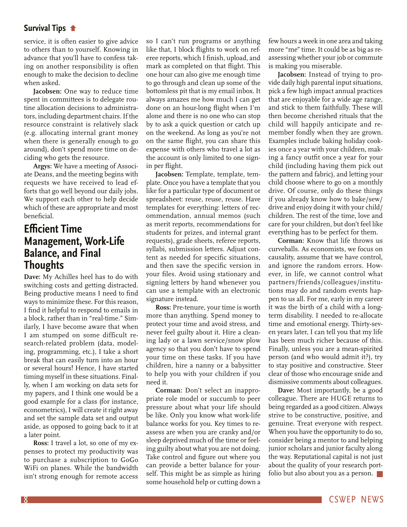service, it is often easier to give advice to others than to yourself. Knowing in advance that you'll have to confess taking on another responsibility is often enough to make the decision to decline when asked.

**Jacobsen:** One way to reduce time spent in committees is to delegate routine allocation decisions to administrators, including department chairs. If the resource constraint is relatively slack (e.g. allocating internal grant money when there is generally enough to go around), don't spend more time on deciding who gets the resource.

**Argys:** We have a meeting of Associate Deans, and the meeting begins with requests we have received to lead efforts that go well beyond our daily jobs. We support each other to help decide which of these are appropriate and most beneficial.

### **Efficient Time Management, Work-Life Balance, and Final Thoughts**

**Dave:** My Achilles heel has to do with switching costs and getting distracted. Being productive means I need to find ways to minimize these. For this reason, I find it helpful to respond to emails in a block, rather than in "real-time." Similarly, I have become aware that when I am stumped on some difficult research-related problem (data, modeling, programming, etc.), I take a short break that can easily turn into an hour or several hours! Hence, I have started timing myself in these situations. Finally, when I am working on data sets for my papers, and I think one would be a good example for a class (for instance, econometrics), I will create it right away and set the sample data set and output aside, as opposed to going back to it at a later point.

**Ross:** I travel a lot, so one of my expenses to protect my productivity was to purchase a subscription to GoGo WiFi on planes. While the bandwidth isn't strong enough for remote access

so I can't run programs or anything like that, I block flights to work on referee reports, which I finish, upload, and mark as completed on that flight. This one hour can also give me enough time to go through and clean up some of the bottomless pit that is my email inbox. It always amazes me how much I can get done on an hour-long flight when I'm alone and there is no one who can stop by to ask a quick question or catch up on the weekend. As long as you're not on the same flight, you can share this expense with others who travel a lot as the account is only limited to one signin per flight.

Jacobsen: Template, template, template. Once you have a template that you like for a particular type of document or spreadsheet: reuse, reuse, reuse. Have templates for everything: letters of recommendation, annual memos (such as merit reports, recommendations for students for prizes, and internal grant requests), grade sheets, referee reports, syllabi, submission letters. Adjust content as needed for specific situations, and then save the specific version in your files. Avoid using stationary and signing letters by hand whenever you can use a template with an electronic signature instead.

**Ross:** Pre-tenure, your time is worth more than anything. Spend money to protect your time and avoid stress, and never feel guilty about it. Hire a cleaning lady or a lawn service/snow plow agency so that you don't have to spend your time on these tasks. If you have children, hire a nanny or a babysitter to help you with your children if you need it.

**Corman:** Don't select an inappropriate role model or succumb to peer pressure about what your life should be like. Only you know what work-life balance works for you. Key times to reassess are when you are cranky and/or sleep deprived much of the time or feeling guilty about what you are not doing. Take control and figure out where you can provide a better balance for yourself. This might be as simple as hiring some household help or cutting down a few hours a week in one area and taking more "me" time. It could be as big as reassessing whether your job or commute is making you miserable.

**Jacobsen:** Instead of trying to provide daily high parental input situations, pick a few high impact annual practices that are enjoyable for a wide age range, and stick to them faithfully. These will then become cherished rituals that the child will happily anticipate and remember fondly when they are grown. Examples include baking holiday cookies once a year with your children, making a fancy outfit once a year for your child (including having them pick out the pattern and fabric), and letting your child choose where to go on a monthly drive. Of course, only do these things if you already know how to bake/sew/ drive and enjoy doing it with your child/ children. The rest of the time, love and care for your children, but don't feel like everything has to be perfect for them.

**Corman:** Know that life throws us curveballs. As economists, we focus on causality, assume that we have control, and ignore the random errors. However, in life, we cannot control what partners/friends/colleagues/institutions may do and random events happen to us all. For me, early in my career it was the birth of a child with a longterm disability. I needed to re-allocate time and emotional energy. Thirty-seven years later, I can tell you that my life has been much richer because of this. Finally, unless you are a mean-spirited person (and who would admit it?), try to stay positive and constructive. Steer clear of those who encourage snide and dismissive comments about colleagues.

**Dave:** Most importantly, be a good colleague. There are HUGE returns to being regarded as a good citizen. Always strive to be constructive, positive, and genuine. Treat everyone with respect. When you have the opportunity to do so, consider being a mentor to and helping junior scholars and junior faculty along the way. Reputational capital is not just about the quality of your research portfolio but also about you as a person.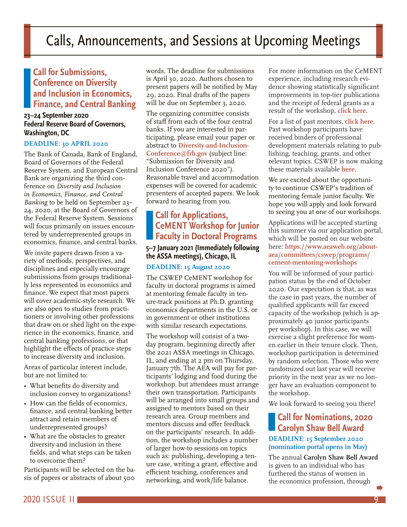# <span id="page-8-0"></span>Calls, Announcements, and Sessions at Upcoming Meetings

### **Call for Submissions, Conference on Diversity and Inclusion in Economics, Finance, and Central Banking**

#### **23–24 September 2020 Federal Reserve Board of Governors, Washington, DC**

#### **DEADLINE: 30 APRIL 2020**

The Bank of Canada, Bank of England, Board of Governors of the Federal Reserve System, and European Central Bank are organizing the third conference on *Diversity and Inclusion in Economics, Finance, and Central Banking* to be held on September 23– 24, 2020, at the Board of Governors of the Federal Reserve System. Sessions will focus primarily on issues encountered by underrepresented groups in economics, finance, and central banks.

We invite papers drawn from a variety of methods, perspectives, and disciplines and especially encourage submissions from groups traditionally less represented in economics and finance. We expect that most papers will cover academic-style research. We are also open to studies from practitioners or involving other professions that draw on or shed light on the experience in the economics, finance, and central banking professions, or that highlight the effects of practice steps to increase diversity and inclusion.

Areas of particular interest include, but are not limited to:

- What benefits do diversity and inclusion convey to organizations?
- How can the fields of economics, finance, and central banking better attract and retain members of underrepresented groups?
- What are the obstacles to greater diversity and inclusion in these fields, and what steps can be taken to overcome them?

Participants will be selected on the basis of papers or abstracts of about 500 words. The deadline for submissions is April 30, 2020. Authors chosen to present papers will be notified by May 29, 2020. Final drafts of the papers will be due on September 3, 2020.

The organizing committee consists of staff from each of the four central banks. If you are interested in participating, please email your paper or abstract to **[Diversity-and-Inclusion-](mailto:Diversity-and-Inclusion-Conference%40frb.gov?subject=Submission%20for%20Diversity%20and%20Inclusion%20Conference%202020)[Conference@frb.gov](mailto:Diversity-and-Inclusion-Conference%40frb.gov?subject=Submission%20for%20Diversity%20and%20Inclusion%20Conference%202020)** (subject line: "Submission for Diversity and Inclusion Conference 2020"). Reasonable travel and accommodation expenses will be covered for academic presenters of accepted papers. We look forward to hearing from you.

### **Call for Applications, CeMENT Workshop for Junior Faculty in Doctoral Programs**

#### **5–7 January 2021 (Immediately following the ASSA meetings), Chicago, IL**

#### **DEADLINE: 15 August 2020**

The CSWEP CeMENT workshop for faculty in doctoral programs is aimed at mentoring female faculty in tenure-track positions at Ph.D. granting economics departments in the U.S. or in government or other institutions with similar research expectations.

The workshop will consist of a twoday program, beginning directly after the 2021 ASSA meetings in Chicago, IL, and ending at 2 pm on Thursday, January 7th. The AEA will pay for participants' lodging and food during the workshop, but attendees must arrange their own transportation. Participants will be arranged into small groups and assigned to mentors based on their research area. Group members and mentors discuss and offer feedback on the participants' research. In addition, the workshop includes a number of larger how-to sessions on topics such as: publishing, developing a tenure case, writing a grant, effective and efficient teaching, conferences and networking, and work/life balance.

For more information on the CeMENT experience, including research evidence showing statistically significant improvements in top-tier publications and the receipt of federal grants as a result of the workshop, **[click here](https://www.aeaweb.org/conference/2020/preliminary/paper/77Db5eKs)**.

For a list of past mentors, **[click here](https://www.aeaweb.org/content/file?id=612)**. Past workshop participants have received binders of professional development materials relating to publishing, teaching, grants, and other relevant topics. CSWEP is now making these materials available **[here](https://www.aeaweb.org/about-aea/committees/cswep/mentoring/reading)**.

We are excited about the opportunity to continue CSWEP's tradition of mentoring female junior faculty. We hope you will apply and look forward to seeing you at one of our workshops.

Applications will be accepted starting this summer via our application portal, which will be posted on our website here: **[https://www.aeaweb.org/about](https://www.aeaweb.org/about-aea/committees/cswep/programs/cement-mentoring-workshops)[aea/committees/cswep/programs/](https://www.aeaweb.org/about-aea/committees/cswep/programs/cement-mentoring-workshops) [cement-mentoring-workshops](https://www.aeaweb.org/about-aea/committees/cswep/programs/cement-mentoring-workshops)**

You will be informed of your participation status by the end of October 2020. Our expectation is that, as was the case in past years, the number of qualified applicants will far exceed capacity of the workshop (which is approximately 40 junior participants per workshop). In this case, we will exercise a slight preference for women earlier in their tenure clock. Then, workshop participation is determined by random selection. Those who were randomized out last year will receive priority in the next year as we no longer have an evaluation component to the workshop.

We look forward to seeing you there!

#### **Call for Nominations, 2020 Carolyn Shaw Bell Award DEADLINE: 15 September 2020 (nomination portal opens in May)**

The annual **Carolyn Shaw Bell Award** is given to an individual who has furthered the status of women in the economics profession, through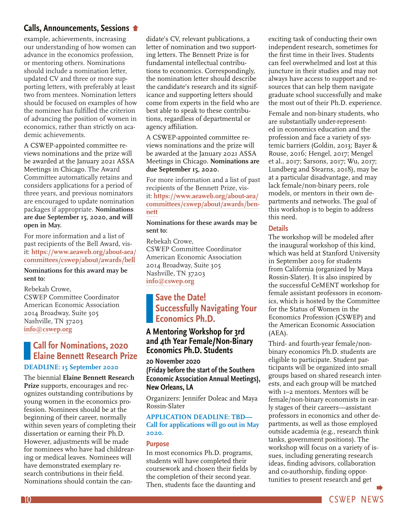#### <span id="page-9-0"></span>**[Calls, Announcements, Sessions](#page-8-0)**

example, achievements, increasing our understanding of how women can advance in the economics profession, or mentoring others. Nominations should include a nomination letter, updated CV and three or more supporting letters, with preferably at least two from mentees. Nomination letters should be focused on examples of how the nominee has fulfilled the criterion of advancing the position of women in economics, rather than strictly on academic achievements.

A CSWEP-appointed committee reviews nominations and the prize will be awarded at the January 2021 ASSA Meetings in Chicago. The Award Committee automatically retains and considers applications for a period of three years, and previous nominators are encouraged to update nomination packages if appropriate. **Nominations are due September 15, 2020, and will open in May.** 

For more information and a list of past recipients of the Bell Award, visit: **[https://www.aeaweb.org/about-aea/](https://www.aeaweb.org/about-aea/committees/cswep/about/awards/bell) [committees/cswep/about/awards/bell](https://www.aeaweb.org/about-aea/committees/cswep/about/awards/bell)**

#### **Nominations for this award may be sent to:**

Rebekah Crowe,

CSWEP Committee Coordinator American Economic Association 2014 Broadway, Suite 305 Nashville, TN 37203 **[info@cswep.org](mailto:info@cswep.org)**

### **Call for Nominations, 2020 Elaine Bennett Research Prize**

#### **DEADLINE: 15 September 2020**

The biennial **Elaine Bennett Research Prize** supports, encourages and recognizes outstanding contributions by young women in the economics profession. Nominees should be at the beginning of their career, normally within seven years of completing their dissertation or earning their Ph.D. However, adjustments will be made for nominees who have had childrearing or medical leaves. Nominees will have demonstrated exemplary research contributions in their field. Nominations should contain the can-

didate's CV, relevant publications, a letter of nomination and two supporting letters. The Bennett Prize is for fundamental intellectual contributions to economics. Correspondingly, the nomination letter should describe the candidate's research and its significance and supporting letters should come from experts in the field who are best able to speak to these contributions, regardless of departmental or agency affiliation.

A CSWEP-appointed committee reviews nominations and the prize will be awarded at the January 2021 ASSA Meetings in Chicago. **Nominations are due September 15, 2020.**

For more information and a list of past recipients of the Bennett Prize, visit: **[https://www.aeaweb.org/about-aea/](https://www.aeaweb.org/about-aea/committees/cswep/about/awards/bennett) [committees/cswep/about/awards/ben](https://www.aeaweb.org/about-aea/committees/cswep/about/awards/bennett)[nett](https://www.aeaweb.org/about-aea/committees/cswep/about/awards/bennett)**

**Nominations for these awards may be sent to:**

Rebekah Crowe, CSWEP Committee Coordinator American Economic Association 2014 Broadway, Suite 305 Nashville, TN 37203 **[info@cswep.org](mailto:info@cswep.org)**

### **Save the Date! Successfully Navigating Your Economics Ph.D.**

#### **A Mentoring Workshop for 3rd and 4th Year Female/Non-Binary Economics Ph.D. Students**

#### **20 November 2020**

**(Friday before the start of the Southern Economic Association Annual Meetings), New Orleans, LA**

Organizers: Jennifer Doleac and Maya Rossin-Slater

#### **APPLICATION DEADLINE: TBD— Call for applications will go out in May 2020.**

#### **Purpose**

In most economics Ph.D. programs, students will have completed their coursework and chosen their fields by the completion of their second year. Then, students face the daunting and

exciting task of conducting their own independent research, sometimes for the first time in their lives. Students can feel overwhelmed and lost at this juncture in their studies and may not always have access to support and resources that can help them navigate graduate school successfully and make the most out of their Ph.D. experience.

Female and non-binary students, who are substantially under-represented in economics education and the profession and face a variety of systemic barriers (Goldin, 2013; Bayer & Rouse, 2016; Hengel, 2017; Mengel et al., 2017; Sarsons, 2017; Wu, 2017; Lundberg and Stearns, 2018), may be at a particular disadvantage, and may lack female/non-binary peers, role models, or mentors in their own departments and networks. The goal of this workshop is to begin to address this need.

#### **Details**

The workshop will be modeled after the inaugural workshop of this kind, which was held at Stanford University in September 2019 for students from California (organized by Maya Rossin-Slater). It is also inspired by the successful CeMENT workshop for female assistant professors in economics, which is hosted by the Committee for the Status of Women in the Economics Profession (CSWEP) and the American Economic Association (AEA).

Third- and fourth-year female/nonbinary economics Ph.D. students are eligible to participate. Student participants will be organized into small groups based on shared research interests, and each group will be matched with 1–2 mentors. Mentors will be female/non-binary economists in early stages of their careers—assistant professors in economics and other departments, as well as those employed outside academia (e.g., research think tanks, government positions). The workshop will focus on a variety of issues, including generating research ideas, finding advisors, collaboration and co-authorship, finding opportunities to present research and get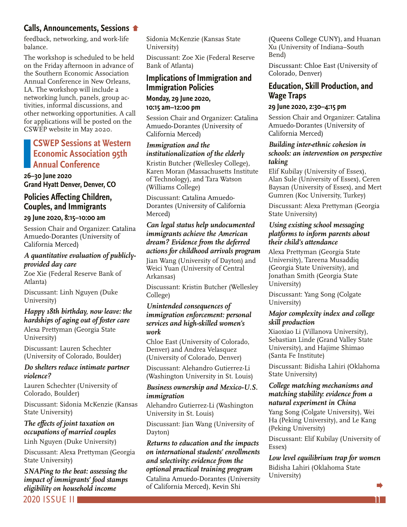### <span id="page-10-0"></span>**[Calls, Announcements, Sessions](#page-9-0)**

feedback, networking, and work-life balance.

The workshop is scheduled to be held on the Friday afternoon in advance of the Southern Economic Association Annual Conference in New Orleans, LA. The workshop will include a networking lunch, panels, group activities, informal discussions, and other networking opportunities. A call for applications will be posted on the CSWEP website in May 2020.

### **CSWEP Sessions at Western Economic Association 95th Annual Conference**

**26–30 June 2020 Grand Hyatt Denver, Denver, CO**

### **Policies Affecting Children, Couples, and Immigrants**

#### **29 June 2020, 8:15–10:00 am**

Session Chair and Organizer: Catalina Amuedo-Dorantes (University of California Merced)

#### *A quantitative evaluation of publiclyprovided day care*

Zoe Xie (Federal Reserve Bank of Atlanta)

Discussant: Linh Nguyen (Duke University)

#### *Happy 18th birthday, now leave: the hardships of aging out of foster care* Alexa Prettyman (Georgia State University)

Discussant: Lauren Schechter (University of Colorado, Boulder)

#### *Do shelters reduce intimate partner violence?*

Lauren Schechter (University of Colorado, Boulder)

Discussant: Sidonia McKenzie (Kansas State University)

#### *The effects of joint taxation on occupations of married couples* Linh Nguyen (Duke University)

Discussant: Alexa Prettyman (Georgia State University)

#### *SNAPing to the beat: assessing the impact of immigrants' food stamps eligibility on household income*

2020 ISSUE III 111 - 121 - 122 - 122 - 122 - 122 - 122 - 123 - 124 - 125 - 127 - 128 - 129 - 120 - 120 - 120 -

Sidonia McKenzie (Kansas State University)

Discussant: Zoe Xie (Federal Reserve Bank of Atlanta)

#### **Implications of Immigration and Immigration Policies**

**Monday, 29 June 2020, 10:15 am–12:00 pm**

Session Chair and Organizer: Catalina Amuedo-Dorantes (University of California Merced)

#### *Immigration and the institutionalization of the elderly*

Kristin Butcher (Wellesley College), Karen Moran (Massachusetts Institute of Technology), and Tara Watson (Williams College)

Discussant: Catalina Amuedo-Dorantes (University of California Merced)

#### *Can legal status help undocumented immigrants achieve the American dream? Evidence from the deferred actions for childhood arrivals program*

Jian Wang (University of Dayton) and Weici Yuan (University of Central Arkansas)

Discussant: Kristin Butcher (Wellesley College)

#### *Unintended consequences of immigration enforcement: personal services and high-skilled women's work*

Chloe East (University of Colorado, Denver) and Andrea Velasquez (University of Colorado, Denver)

Discussant: Alehandro Gutierrez-Li (Washington University in St. Louis)

#### *Business ownership and Mexico-U.S. immigration*

Alehandro Gutierrez-Li (Washington University in St. Louis)

Discussant: Jian Wang (University of Dayton)

#### *Returns to education and the impacts on international students' enrollments and selectivity: evidence from the optional practical training program* Catalina Amuedo-Dorantes (University of California Merced), Kevin Shi

(Queens College CUNY), and Huanan Xu (University of Indiana–South Bend)

Discussant: Chloe East (University of Colorado, Denver)

#### **Education, Skill Production, and Wage Traps**

#### **29 June 2020, 2:30–4:15 pm**

Session Chair and Organizer: Catalina Amuedo-Dorantes (University of California Merced)

#### *Building inter-ethnic cohesion in schools: an intervention on perspective taking*

Elif Kubilay (University of Essex), Alan Sule (University of Essex), Ceren Baysan (University of Essex), and Mert Gumren (Koc University, Turkey)

Discussant: Alexa Prettyman (Georgia State University)

#### *Using existing school messaging platforms to inform parents about their child's attendance*

Alexa Prettyman (Georgia State University), Tareena Musaddiq (Georgia State University), and Jonathan Smith (Georgia State University)

Discussant: Yang Song (Colgate University)

#### *Major complexity index and college skill production*

Xiaoxiao Li (Villanova University), Sebastian Linde (Grand Valley State University), and Hajime Shimao (Santa Fe Institute)

Discussant: Bidisha Lahiri (Oklahoma State University)

#### *College matching mechanisms and matching stability: evidence from a natural experiment in China*

Yang Song (Colgate University), Wei Ha (Peking University), and Le Kang (Peking University)

Discussant: Elif Kubilay (University of Essex)

*Low level equilibrium trap for women* Bidisha Lahiri (Oklahoma State University)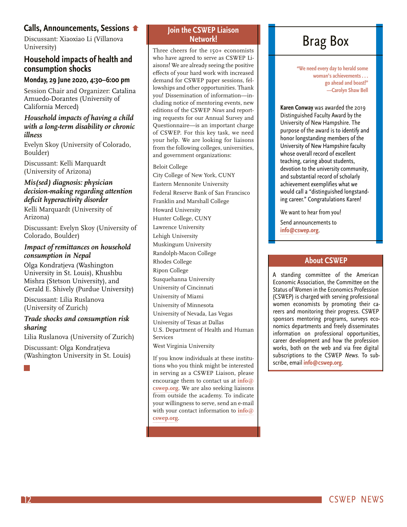#### <span id="page-11-0"></span>**[Calls, Announcements, Sessions](#page-10-0)**

Discussant: Xiaoxiao Li (Villanova University)

#### **Household impacts of health and consumption shocks**

#### **Monday, 29 June 2020, 4:30–6:00 pm**

Session Chair and Organizer: Catalina Amuedo-Dorantes (University of California Merced)

#### *Household impacts of having a child with a long-term disability or chronic illness*

Evelyn Skoy (University of Colorado, Boulder)

Discussant: Kelli Marquardt (University of Arizona)

#### *Mis(sed) diagnosis: physician decision-making regarding attention deficit hyperactivity disorder*

Kelli Marquardt (University of Arizona)

Discussant: Evelyn Skoy (University of Colorado, Boulder)

#### *Impact of remittances on household consumption in Nepal*

Olga Kondratjeva (Washington University in St. Louis), Khushbu Mishra (Stetson University), and Gerald E. Shively (Purdue University)

Discussant: Lilia Ruslanova (University of Zurich)

#### *Trade shocks and consumption risk sharing*

Lilia Ruslanova (University of Zurich)

Discussant: Olga Kondratjeva (Washington University in St. Louis)

#### **Join the CSWEP Liaison Network!**

Three cheers for the 150+ economists who have agreed to serve as CSWEP Liaisons! We are already seeing the positive effects of your hard work with increased demand for CSWEP paper sessions, fellowships and other opportunities. Thank you! Dissemination of information—including notice of mentoring events, new editions of the CSWEP *News* and reporting requests for our Annual Survey and Questionnaire—is an important charge of CSWEP. For this key task, we need your help. We are looking for liaisons from the following colleges, universities, and government organizations:

Beloit College

City College of New York, CUNY Eastern Mennonite University Federal Reserve Bank of San Francisco Franklin and Marshall College Howard University Hunter College, CUNY Lawrence University Lehigh University Muskingum University Randolph-Macon College Rhodes College Ripon College Susquehanna University University of Cincinnati University of Miami University of Minnesota University of Nevada, Las Vegas University of Texas at Dallas U.S. Department of Health and Human Services West Virginia University

If you know individuals at these institutions who you think might be interested in serving as a CSWEP Liaison, please encourage them to contact us at **[info@](mailto:info%40cswep.org?subject=) [cswep.org](mailto:info%40cswep.org?subject=)**. We are also seeking liaisons from outside the academy. To indicate your willingness to serve, send an e-mail with your contact information to **[info@](mailto:info%40cswep.org?subject=) [cswep.org](mailto:info%40cswep.org?subject=)**.

# Brag Box

**"We need every day to herald some woman's achievements . . . go ahead and boast!" —Carolyn Shaw Bell**

**Karen Conway** was awarded the 2019 Distinguished Faculty Award by the University of New Hampshire. The purpose of the award is to identify and honor longstanding members of the University of New Hampshire faculty whose overall record of excellent teaching, caring about students, devotion to the university community, and substantial record of scholarly achievement exemplifies what we would call a "distinguished longstanding career." Congratulations Karen!

We want to hear from you!

Send announcements to **[info@cswep.org](mailto:info%40cswep.org?subject=)**.

#### **About CSWEP**

A standing committee of the American Economic Association, the Committee on the Status of Women in the Economics Profession (CSWEP) is charged with serving professional women economists by promoting their careers and monitoring their progress. CSWEP sponsors mentoring programs, surveys economics departments and freely disseminates information on professional opportunities, career development and how the profession works, both on the web and via free digital subscriptions to the CSWEP News. To subscribe, email **[info@cswep.org](mailto:info%40cswep.org?subject=)**.